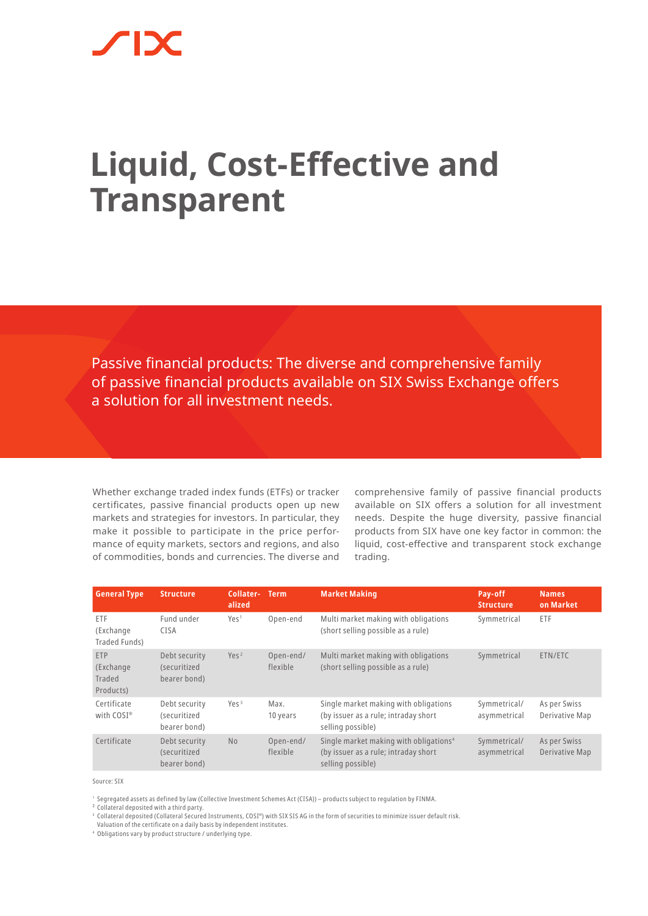## **Liquid, Cost-Effective and Transparent**

Passive financial products: The diverse and comprehensive family of passive financial products available on SIX Swiss Exchange offers a solution for all investment needs.

Whether exchange traded index funds (ETFs) or tracker certificates, passive financial products open up new markets and strategies for investors. In particular, they make it possible to participate in the price performance of equity markets, sectors and regions, and also of commodities, bonds and currencies. The diverse and

comprehensive family of passive financial products available on SIX offers a solution for all investment needs. Despite the huge diversity, passive financial products from SIX have one key factor in common: the liquid, cost-effective and transparent stock exchange trading.

| <b>General Type</b>                            | <b>Structure</b>                              | Collater-<br>alized | <b>Term</b>           | <b>Market Making</b>                                                                                            | Pay-off<br><b>Structure</b>  | <b>Names</b><br>on Market      |
|------------------------------------------------|-----------------------------------------------|---------------------|-----------------------|-----------------------------------------------------------------------------------------------------------------|------------------------------|--------------------------------|
| ETF<br>(Exchange<br>Traded Funds)              | Fund under<br><b>CISA</b>                     | Yes <sup>1</sup>    | Open-end              | Multi market making with obligations<br>(short selling possible as a rule)                                      | Symmetrical                  | ETF                            |
| <b>ETP</b><br>(Exchange<br>Traded<br>Products) | Debt security<br>(securitized<br>bearer bond) | Yes <sup>2</sup>    | Open-end/<br>flexible | Multi market making with obligations<br>(short selling possible as a rule)                                      | Symmetrical                  | ETN/ETC                        |
| Certificate<br>with $COSI^*$                   | Debt security<br>(securitized<br>bearer bond) | Yes <sup>3</sup>    | Max.<br>10 years      | Single market making with obligations<br>(by issuer as a rule; intraday short<br>selling possible)              | Symmetrical/<br>asymmetrical | As per Swiss<br>Derivative Map |
| Certificate                                    | Debt security<br>(securitized<br>bearer bond) | No                  | Open-end/<br>flexible | Single market making with obligations <sup>4</sup><br>(by issuer as a rule; intraday short<br>selling possible) | Symmetrical/<br>asymmetrical | As per Swiss<br>Derivative Map |

Source: SIX

<sup>1</sup> Segregated assets as defined by law (Collective Investment Schemes Act (CISA)) – products subject to regulation by FINMA.

² Collateral deposited with a third party.

<sup>3</sup> Collateral deposited (Collateral Secured Instruments, COSI®) with SIX SIS AG in the form of securities to minimize issuer default risk.

Valuation of the certificate on a daily basis by independent institutes.

<sup>4</sup> Obligations vary by product structure / underlying type.